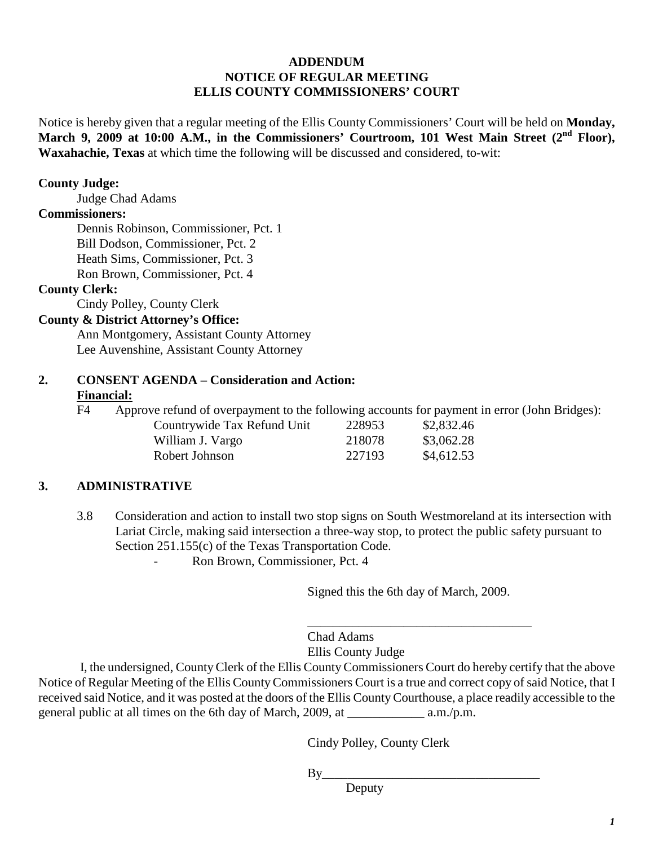# **ADDENDUM NOTICE OF REGULAR MEETING ELLIS COUNTY COMMISSIONERS' COURT**

Notice is hereby given that a regular meeting of the Ellis County Commissioners' Court will be held on **Monday, March 9, 2009 at 10:00 A.M., in the Commissioners' Courtroom, 101 West Main Street (2nd Floor), Waxahachie, Texas** at which time the following will be discussed and considered, to-wit:

#### **County Judge:**

Judge Chad Adams

#### **Commissioners:**

Dennis Robinson, Commissioner, Pct. 1 Bill Dodson, Commissioner, Pct. 2 Heath Sims, Commissioner, Pct. 3 Ron Brown, Commissioner, Pct. 4

# **County Clerk:**

Cindy Polley, County Clerk

# **County & District Attorney's Office:**

Ann Montgomery, Assistant County Attorney Lee Auvenshine, Assistant County Attorney

### **2. CONSENT AGENDA – Consideration and Action: Financial:**

F4 Approve refund of overpayment to the following accounts for payment in error (John Bridges):

| Countrywide Tax Refund Unit | 228953 | \$2,832.46 |
|-----------------------------|--------|------------|
| William J. Vargo            | 218078 | \$3,062.28 |
| Robert Johnson              | 227193 | \$4,612.53 |

#### **3. ADMINISTRATIVE**

3.8 Consideration and action to install two stop signs on South Westmoreland at its intersection with Lariat Circle, making said intersection a three-way stop, to protect the public safety pursuant to Section 251.155(c) of the Texas Transportation Code.

- Ron Brown, Commissioner, Pct. 4

Signed this the 6th day of March, 2009.

\_\_\_\_\_\_\_\_\_\_\_\_\_\_\_\_\_\_\_\_\_\_\_\_\_\_\_\_\_\_\_\_\_\_\_

Chad Adams Ellis County Judge

I, the undersigned, County Clerk of the Ellis County Commissioners Court do hereby certify that the above Notice of Regular Meeting of the Ellis County Commissioners Court is a true and correct copy of said Notice, that I received said Notice, and it was posted at the doors of the Ellis County Courthouse, a place readily accessible to the general public at all times on the 6th day of March, 2009, at \_\_\_\_\_\_\_\_\_\_\_\_ a.m./p.m.

Cindy Polley, County Clerk

 $By$ 

Deputy